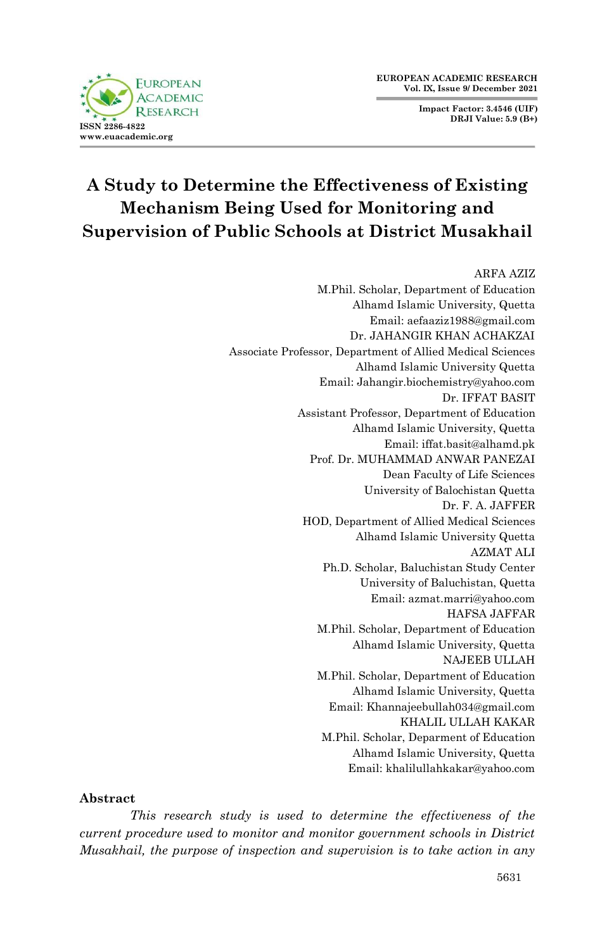**Impact Factor: 3.4546 (UIF) DRJI Value: 5.9 (B+)**



# **A Study to Determine the Effectiveness of Existing Mechanism Being Used for Monitoring and Supervision of Public Schools at District Musakhail**

ARFA AZIZ M.Phil. Scholar, Department of Education Alhamd Islamic University, Quetta Email: aefaaziz1988@gmail.com Dr. JAHANGIR KHAN ACHAKZAI Associate Professor, Department of Allied Medical Sciences Alhamd Islamic University Quetta Email: Jahangir.biochemistry@yahoo.com Dr. IFFAT BASIT Assistant Professor, Department of Education Alhamd Islamic University, Quetta Email: iffat.basit@alhamd.pk Prof. Dr. MUHAMMAD ANWAR PANEZAI Dean Faculty of Life Sciences University of Balochistan Quetta Dr. F. A. JAFFER HOD, Department of Allied Medical Sciences Alhamd Islamic University Quetta AZMAT ALI Ph.D. Scholar, Baluchistan Study Center University of Baluchistan, Quetta Email: azmat.marri@yahoo.com HAFSA JAFFAR M.Phil. Scholar, Department of Education Alhamd Islamic University, Quetta NAJEEB ULLAH M.Phil. Scholar, Department of Education Alhamd Islamic University, Quetta Email: Khannajeebullah034@gmail.com KHALIL ULLAH KAKAR M.Phil. Scholar, Deparment of Education Alhamd Islamic University, Quetta Email: khalilullahkakar@yahoo.com

#### **Abstract**

*This research study is used to determine the effectiveness of the current procedure used to monitor and monitor government schools in District Musakhail, the purpose of inspection and supervision is to take action in any*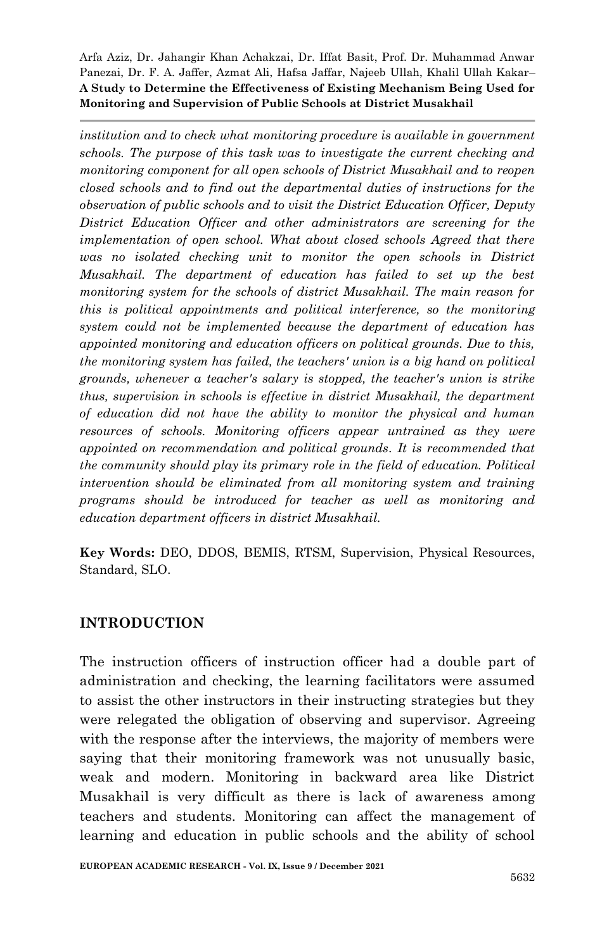*institution and to check what monitoring procedure is available in government schools. The purpose of this task was to investigate the current checking and monitoring component for all open schools of District Musakhail and to reopen closed schools and to find out the departmental duties of instructions for the observation of public schools and to visit the District Education Officer, Deputy District Education Officer and other administrators are screening for the implementation of open school. What about closed schools Agreed that there was no isolated checking unit to monitor the open schools in District Musakhail. The department of education has failed to set up the best monitoring system for the schools of district Musakhail. The main reason for this is political appointments and political interference, so the monitoring system could not be implemented because the department of education has appointed monitoring and education officers on political grounds. Due to this, the monitoring system has failed, the teachers' union is a big hand on political grounds, whenever a teacher's salary is stopped, the teacher's union is strike thus, supervision in schools is effective in district Musakhail, the department of education did not have the ability to monitor the physical and human resources of schools. Monitoring officers appear untrained as they were appointed on recommendation and political grounds. It is recommended that the community should play its primary role in the field of education. Political intervention should be eliminated from all monitoring system and training programs should be introduced for teacher as well as monitoring and education department officers in district Musakhail.*

**Key Words:** DEO, DDOS, BEMIS, RTSM, Supervision, Physical Resources, Standard, SLO.

#### **INTRODUCTION**

The instruction officers of instruction officer had a double part of administration and checking, the learning facilitators were assumed to assist the other instructors in their instructing strategies but they were relegated the obligation of observing and supervisor. Agreeing with the response after the interviews, the majority of members were saying that their monitoring framework was not unusually basic, weak and modern. Monitoring in backward area like District Musakhail is very difficult as there is lack of awareness among teachers and students. Monitoring can affect the management of learning and education in public schools and the ability of school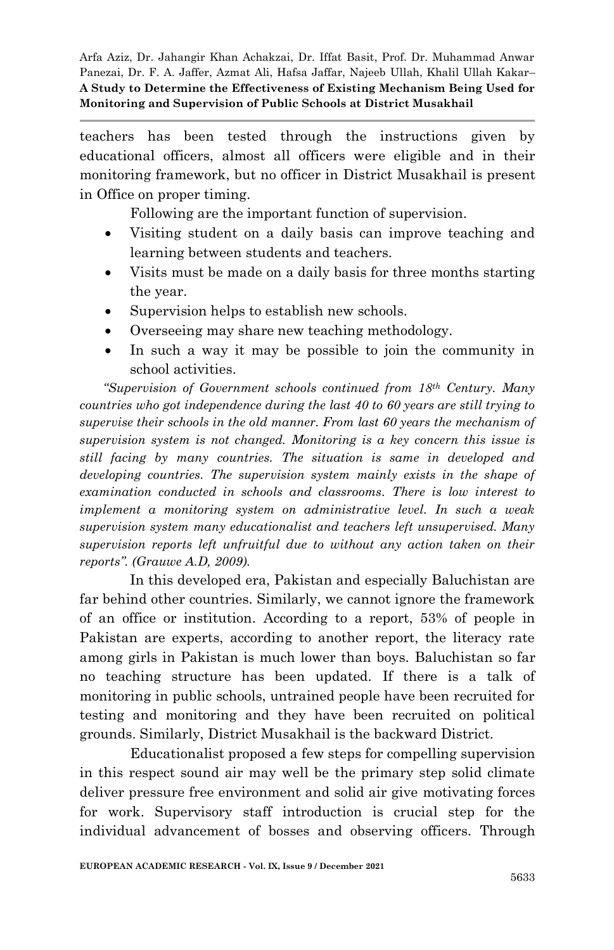teachers has been tested through the instructions given by educational officers, almost all officers were eligible and in their monitoring framework, but no officer in District Musakhail is present in Office on proper timing.

Following are the important function of supervision.

- Visiting student on a daily basis can improve teaching and learning between students and teachers.
- Visits must be made on a daily basis for three months starting the year.
- Supervision helps to establish new schools.
- Overseeing may share new teaching methodology.
- In such a way it may be possible to join the community in school activities.

*"Supervision of Government schools continued from 18th Century. Many countries who got independence during the last 40 to 60 years are still trying to supervise their schools in the old manner. From last 60 years the mechanism of supervision system is not changed. Monitoring is a key concern this issue is still facing by many countries. The situation is same in developed and developing countries. The supervision system mainly exists in the shape of examination conducted in schools and classrooms. There is low interest to implement a monitoring system on administrative level. In such a weak supervision system many educationalist and teachers left unsupervised. Many supervision reports left unfruitful due to without any action taken on their reports". (Grauwe A.D, 2009)*.

In this developed era, Pakistan and especially Baluchistan are far behind other countries. Similarly, we cannot ignore the framework of an office or institution. According to a report, 53% of people in Pakistan are experts, according to another report, the literacy rate among girls in Pakistan is much lower than boys. Baluchistan so far no teaching structure has been updated. If there is a talk of monitoring in public schools, untrained people have been recruited for testing and monitoring and they have been recruited on political grounds. Similarly, District Musakhail is the backward District.

Educationalist proposed a few steps for compelling supervision in this respect sound air may well be the primary step solid climate deliver pressure free environment and solid air give motivating forces for work. Supervisory staff introduction is crucial step for the individual advancement of bosses and observing officers. Through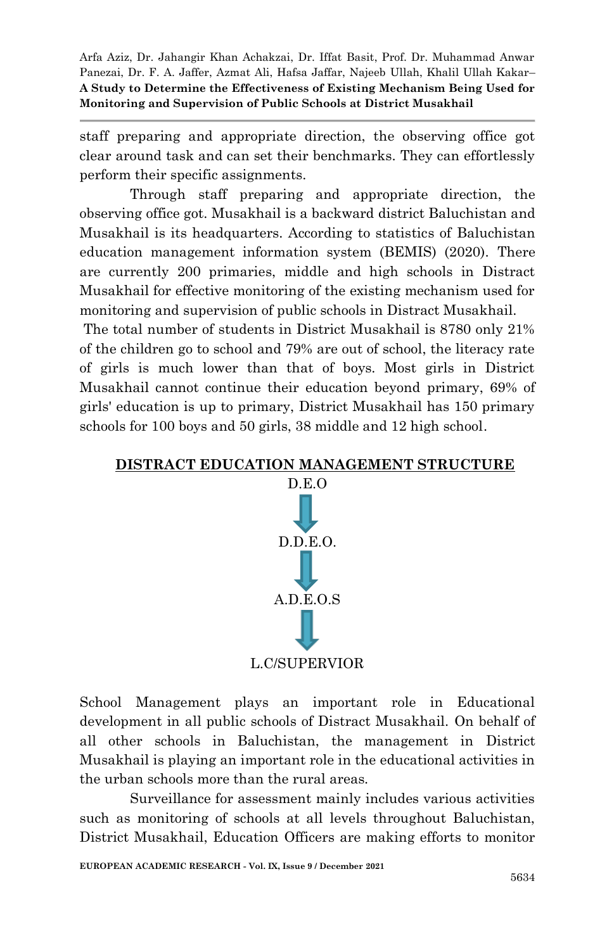staff preparing and appropriate direction, the observing office got clear around task and can set their benchmarks. They can effortlessly perform their specific assignments.

Through staff preparing and appropriate direction, the observing office got. Musakhail is a backward district Baluchistan and Musakhail is its headquarters. According to statistics of Baluchistan education management information system (BEMIS) (2020). There are currently 200 primaries, middle and high schools in Distract Musakhail for effective monitoring of the existing mechanism used for monitoring and supervision of public schools in Distract Musakhail.

The total number of students in District Musakhail is 8780 only 21% of the children go to school and 79% are out of school, the literacy rate of girls is much lower than that of boys. Most girls in District Musakhail cannot continue their education beyond primary, 69% of girls' education is up to primary, District Musakhail has 150 primary schools for 100 boys and 50 girls, 38 middle and 12 high school.





School Management plays an important role in Educational development in all public schools of Distract Musakhail. On behalf of all other schools in Baluchistan, the management in District Musakhail is playing an important role in the educational activities in the urban schools more than the rural areas.

Surveillance for assessment mainly includes various activities such as monitoring of schools at all levels throughout Baluchistan, District Musakhail, Education Officers are making efforts to monitor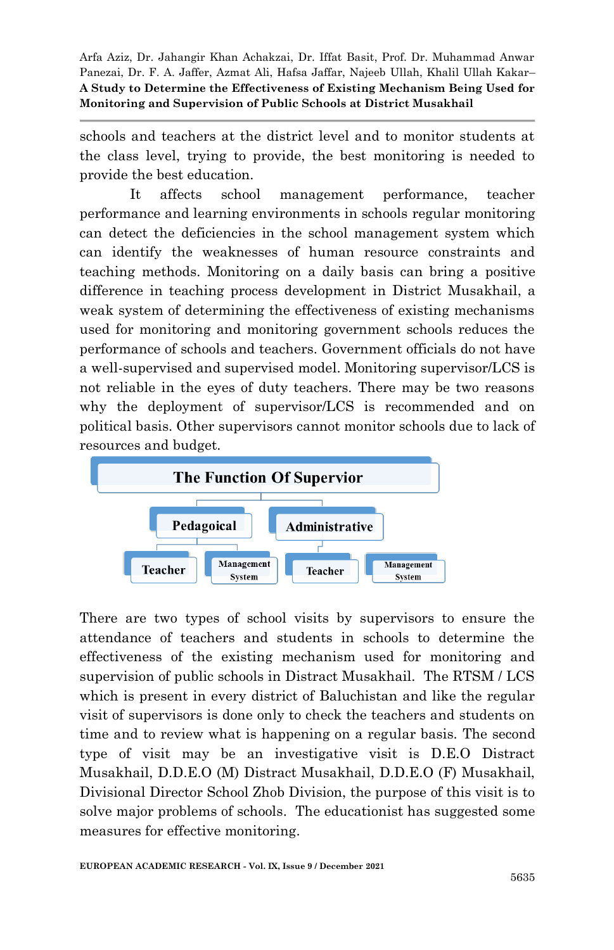schools and teachers at the district level and to monitor students at the class level, trying to provide, the best monitoring is needed to provide the best education.

It affects school management performance, teacher performance and learning environments in schools regular monitoring can detect the deficiencies in the school management system which can identify the weaknesses of human resource constraints and teaching methods. Monitoring on a daily basis can bring a positive difference in teaching process development in District Musakhail, a weak system of determining the effectiveness of existing mechanisms used for monitoring and monitoring government schools reduces the performance of schools and teachers. Government officials do not have a well-supervised and supervised model. Monitoring supervisor/LCS is not reliable in the eyes of duty teachers. There may be two reasons why the deployment of supervisor/LCS is recommended and on political basis. Other supervisors cannot monitor schools due to lack of resources and budget.



There are two types of school visits by supervisors to ensure the attendance of teachers and students in schools to determine the effectiveness of the existing mechanism used for monitoring and supervision of public schools in Distract Musakhail. The RTSM / LCS which is present in every district of Baluchistan and like the regular visit of supervisors is done only to check the teachers and students on time and to review what is happening on a regular basis. The second type of visit may be an investigative visit is D.E.O Distract Musakhail, D.D.E.O (M) Distract Musakhail, D.D.E.O (F) Musakhail, Divisional Director School Zhob Division, the purpose of this visit is to solve major problems of schools. The educationist has suggested some measures for effective monitoring.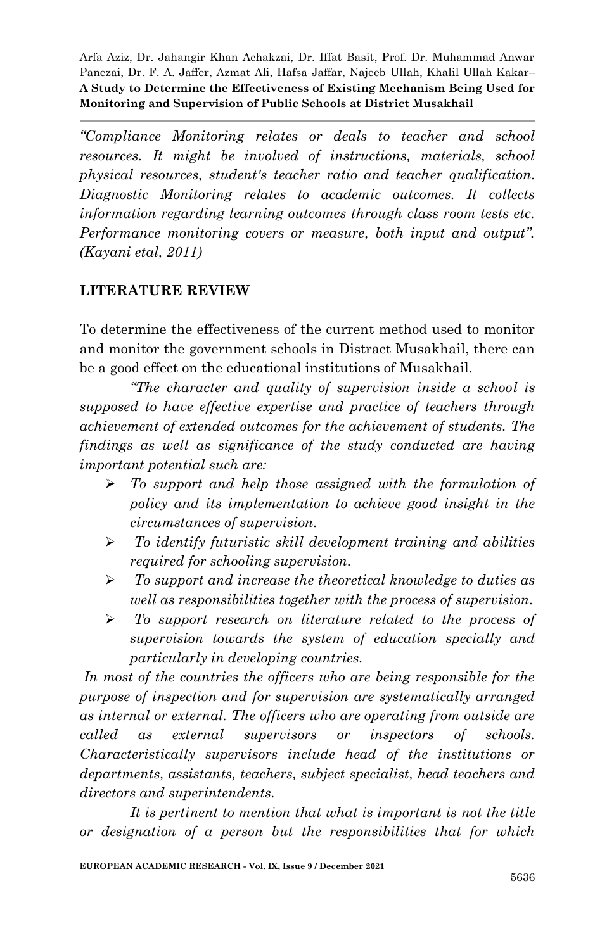*"Compliance Monitoring relates or deals to teacher and school resources. It might be involved of instructions, materials, school physical resources, student's teacher ratio and teacher qualification. Diagnostic Monitoring relates to academic outcomes. It collects information regarding learning outcomes through class room tests etc. Performance monitoring covers or measure, both input and output". (Kayani etal, 2011)*

## **LITERATURE REVIEW**

To determine the effectiveness of the current method used to monitor and monitor the government schools in Distract Musakhail, there can be a good effect on the educational institutions of Musakhail.

*"The character and quality of supervision inside a school is supposed to have effective expertise and practice of teachers through achievement of extended outcomes for the achievement of students. The findings as well as significance of the study conducted are having important potential such are:* 

- *To support and help those assigned with the formulation of policy and its implementation to achieve good insight in the circumstances of supervision.*
- *To identify futuristic skill development training and abilities required for schooling supervision.*
- *To support and increase the theoretical knowledge to duties as well as responsibilities together with the process of supervision.*
- *To support research on literature related to the process of supervision towards the system of education specially and particularly in developing countries.*

*In most of the countries the officers who are being responsible for the purpose of inspection and for supervision are systematically arranged as internal or external. The officers who are operating from outside are called as external supervisors or inspectors of schools. Characteristically supervisors include head of the institutions or departments, assistants, teachers, subject specialist, head teachers and directors and superintendents.*

*It is pertinent to mention that what is important is not the title or designation of a person but the responsibilities that for which*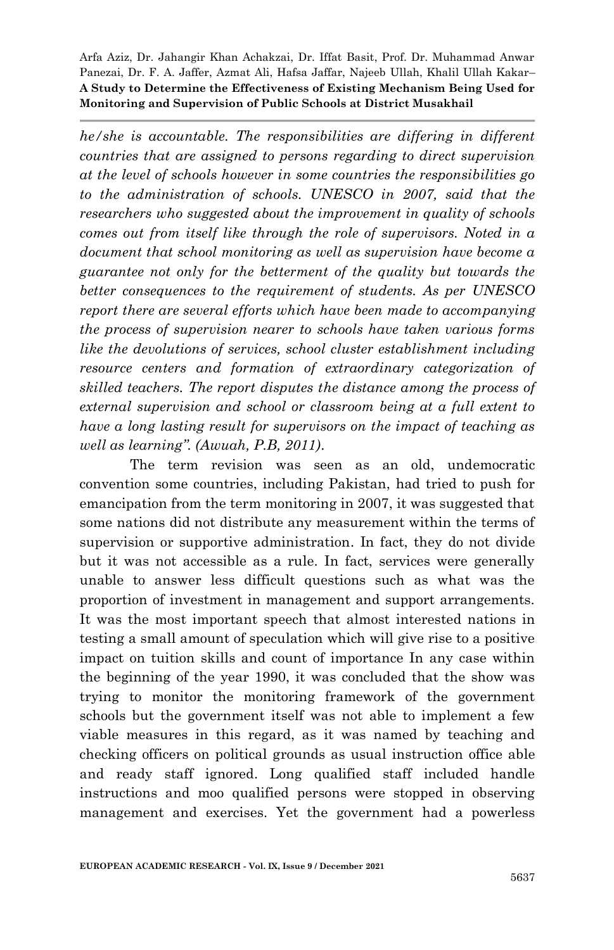*he/she is accountable. The responsibilities are differing in different countries that are assigned to persons regarding to direct supervision at the level of schools however in some countries the responsibilities go to the administration of schools. UNESCO in 2007, said that the researchers who suggested about the improvement in quality of schools comes out from itself like through the role of supervisors. Noted in a document that school monitoring as well as supervision have become a guarantee not only for the betterment of the quality but towards the better consequences to the requirement of students. As per UNESCO report there are several efforts which have been made to accompanying the process of supervision nearer to schools have taken various forms like the devolutions of services, school cluster establishment including resource centers and formation of extraordinary categorization of skilled teachers. The report disputes the distance among the process of external supervision and school or classroom being at a full extent to have a long lasting result for supervisors on the impact of teaching as well as learning". (Awuah, P.B, 2011)*.

The term revision was seen as an old, undemocratic convention some countries, including Pakistan, had tried to push for emancipation from the term monitoring in 2007, it was suggested that some nations did not distribute any measurement within the terms of supervision or supportive administration. In fact, they do not divide but it was not accessible as a rule. In fact, services were generally unable to answer less difficult questions such as what was the proportion of investment in management and support arrangements. It was the most important speech that almost interested nations in testing a small amount of speculation which will give rise to a positive impact on tuition skills and count of importance In any case within the beginning of the year 1990, it was concluded that the show was trying to monitor the monitoring framework of the government schools but the government itself was not able to implement a few viable measures in this regard, as it was named by teaching and checking officers on political grounds as usual instruction office able and ready staff ignored. Long qualified staff included handle instructions and moo qualified persons were stopped in observing management and exercises. Yet the government had a powerless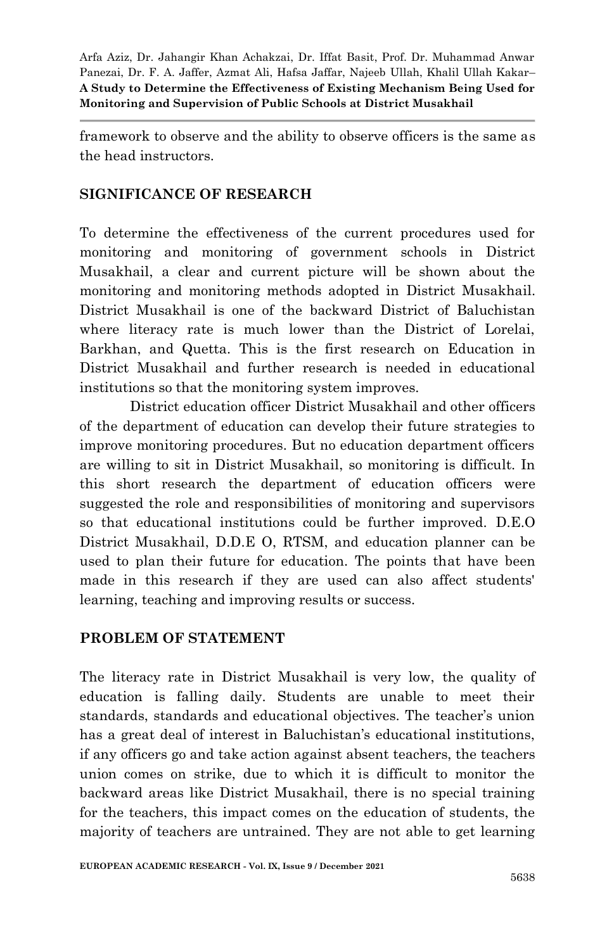framework to observe and the ability to observe officers is the same as the head instructors.

## **SIGNIFICANCE OF RESEARCH**

To determine the effectiveness of the current procedures used for monitoring and monitoring of government schools in District Musakhail, a clear and current picture will be shown about the monitoring and monitoring methods adopted in District Musakhail. District Musakhail is one of the backward District of Baluchistan where literacy rate is much lower than the District of Lorelai, Barkhan, and Quetta. This is the first research on Education in District Musakhail and further research is needed in educational institutions so that the monitoring system improves.

District education officer District Musakhail and other officers of the department of education can develop their future strategies to improve monitoring procedures. But no education department officers are willing to sit in District Musakhail, so monitoring is difficult. In this short research the department of education officers were suggested the role and responsibilities of monitoring and supervisors so that educational institutions could be further improved. D.E.O District Musakhail, D.D.E O, RTSM, and education planner can be used to plan their future for education. The points that have been made in this research if they are used can also affect students' learning, teaching and improving results or success.

#### **PROBLEM OF STATEMENT**

The literacy rate in District Musakhail is very low, the quality of education is falling daily. Students are unable to meet their standards, standards and educational objectives. The teacher's union has a great deal of interest in Baluchistan's educational institutions, if any officers go and take action against absent teachers, the teachers union comes on strike, due to which it is difficult to monitor the backward areas like District Musakhail, there is no special training for the teachers, this impact comes on the education of students, the majority of teachers are untrained. They are not able to get learning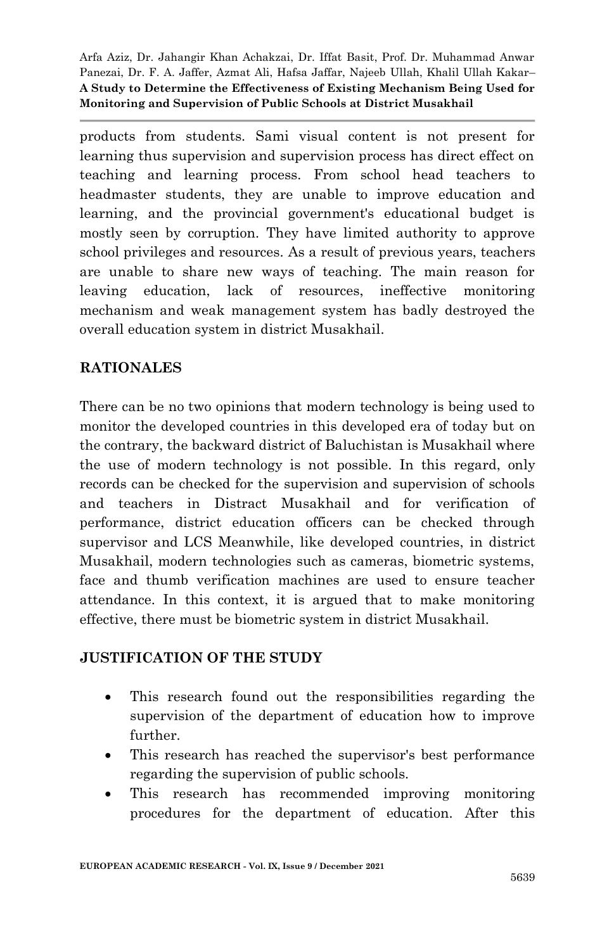products from students. Sami visual content is not present for learning thus supervision and supervision process has direct effect on teaching and learning process. From school head teachers to headmaster students, they are unable to improve education and learning, and the provincial government's educational budget is mostly seen by corruption. They have limited authority to approve school privileges and resources. As a result of previous years, teachers are unable to share new ways of teaching. The main reason for leaving education, lack of resources, ineffective monitoring mechanism and weak management system has badly destroyed the overall education system in district Musakhail.

## **RATIONALES**

There can be no two opinions that modern technology is being used to monitor the developed countries in this developed era of today but on the contrary, the backward district of Baluchistan is Musakhail where the use of modern technology is not possible. In this regard, only records can be checked for the supervision and supervision of schools and teachers in Distract Musakhail and for verification of performance, district education officers can be checked through supervisor and LCS Meanwhile, like developed countries, in district Musakhail, modern technologies such as cameras, biometric systems, face and thumb verification machines are used to ensure teacher attendance. In this context, it is argued that to make monitoring effective, there must be biometric system in district Musakhail.

#### **JUSTIFICATION OF THE STUDY**

- This research found out the responsibilities regarding the supervision of the department of education how to improve further.
- This research has reached the supervisor's best performance regarding the supervision of public schools.
- This research has recommended improving monitoring procedures for the department of education. After this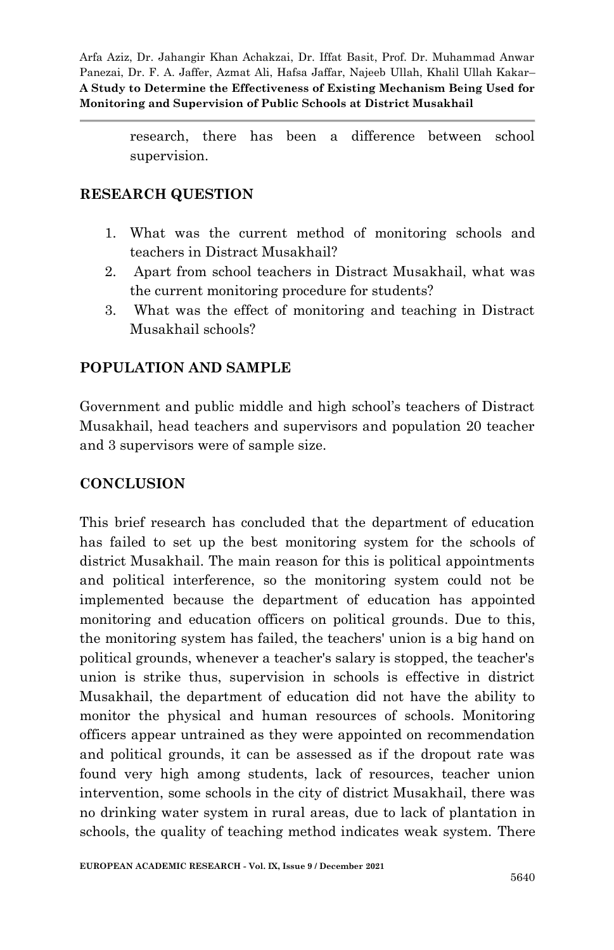> research, there has been a difference between school supervision.

## **RESEARCH QUESTION**

- 1. What was the current method of monitoring schools and teachers in Distract Musakhail?
- 2. Apart from school teachers in Distract Musakhail, what was the current monitoring procedure for students?
- 3. What was the effect of monitoring and teaching in Distract Musakhail schools?

## **POPULATION AND SAMPLE**

Government and public middle and high school's teachers of Distract Musakhail, head teachers and supervisors and population 20 teacher and 3 supervisors were of sample size.

## **CONCLUSION**

This brief research has concluded that the department of education has failed to set up the best monitoring system for the schools of district Musakhail. The main reason for this is political appointments and political interference, so the monitoring system could not be implemented because the department of education has appointed monitoring and education officers on political grounds. Due to this, the monitoring system has failed, the teachers' union is a big hand on political grounds, whenever a teacher's salary is stopped, the teacher's union is strike thus, supervision in schools is effective in district Musakhail, the department of education did not have the ability to monitor the physical and human resources of schools. Monitoring officers appear untrained as they were appointed on recommendation and political grounds, it can be assessed as if the dropout rate was found very high among students, lack of resources, teacher union intervention, some schools in the city of district Musakhail, there was no drinking water system in rural areas, due to lack of plantation in schools, the quality of teaching method indicates weak system. There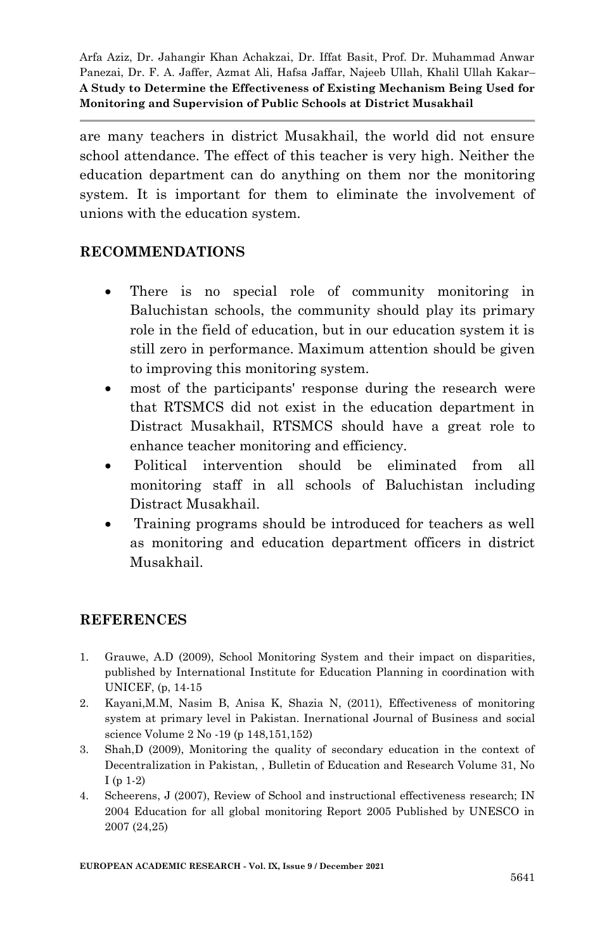are many teachers in district Musakhail, the world did not ensure school attendance. The effect of this teacher is very high. Neither the education department can do anything on them nor the monitoring system. It is important for them to eliminate the involvement of unions with the education system.

### **RECOMMENDATIONS**

- There is no special role of community monitoring in Baluchistan schools, the community should play its primary role in the field of education, but in our education system it is still zero in performance. Maximum attention should be given to improving this monitoring system.
- most of the participants' response during the research were that RTSMCS did not exist in the education department in Distract Musakhail, RTSMCS should have a great role to enhance teacher monitoring and efficiency.
- Political intervention should be eliminated from all monitoring staff in all schools of Baluchistan including Distract Musakhail.
- Training programs should be introduced for teachers as well as monitoring and education department officers in district Musakhail.

## **REFERENCES**

- 1. Grauwe, A.D (2009), School Monitoring System and their impact on disparities, published by International Institute for Education Planning in coordination with UNICEF, (p, 14-15
- 2. Kayani,M.M, Nasim B, Anisa K, Shazia N, (2011), Effectiveness of monitoring system at primary level in Pakistan. Inernational Journal of Business and social science Volume 2 No -19 (p 148,151,152)
- 3. Shah,D (2009), Monitoring the quality of secondary education in the context of Decentralization in Pakistan, , Bulletin of Education and Research Volume 31, No I (p 1-2)
- 4. Scheerens, J (2007), Review of School and instructional effectiveness research; IN 2004 Education for all global monitoring Report 2005 Published by UNESCO in 2007 (24,25)